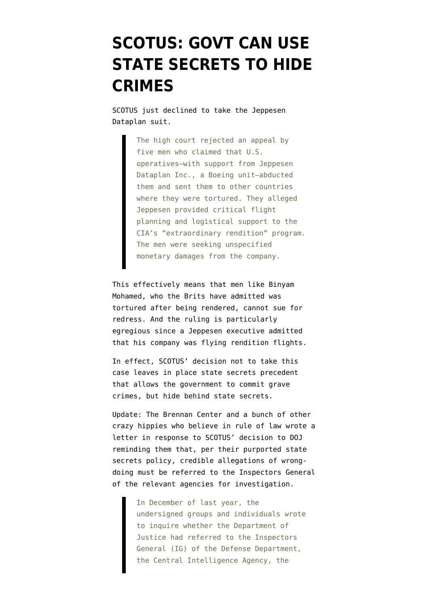## **[SCOTUS: GOVT CAN USE](https://www.emptywheel.net/2011/05/16/scotus-govt-can-use-state-secrets-to-hide-crimes/) [STATE SECRETS TO HIDE](https://www.emptywheel.net/2011/05/16/scotus-govt-can-use-state-secrets-to-hide-crimes/) [CRIMES](https://www.emptywheel.net/2011/05/16/scotus-govt-can-use-state-secrets-to-hide-crimes/)**

SCOTUS just [declined](http://online.wsj.com/article/SB10001424052748703509104576327141293458876.html?mod=googlenews_wsj) to take the Jeppesen Dataplan suit.

> The high court rejected an appeal by five men who claimed that U.S. operatives—with support from Jeppesen Dataplan Inc., a Boeing unit—abducted them and sent them to other countries where they were tortured. They alleged Jeppesen provided critical flight planning and logistical support to the CIA's "extraordinary rendition" program. The men were seeking unspecified monetary damages from the company.

This effectively means that men like Binyam Mohamed, who the Brits have admitted was tortured after being rendered, cannot sue for redress. And the ruling is particularly egregious since a Jeppesen executive admitted that his company was flying rendition flights.

In effect, SCOTUS' decision not to take this case leaves in place state secrets precedent that allows the government to commit grave crimes, but hide behind state secrets.

Update: The Brennan Center and a bunch of other crazy hippies who believe in rule of law [wrote a](http://www.brennancenter.org/content/resource/letter_to_attorney_general_holder_on_the_justice_departments_state_secrets) [letter](http://www.brennancenter.org/content/resource/letter_to_attorney_general_holder_on_the_justice_departments_state_secrets) in response to SCOTUS' decision to DOJ reminding them that, per their [purported state](http://emptywheel.firedoglake.com/2009/09/23/new-state-secrets-policy-smoke-and-mirrors/) [secrets policy](http://emptywheel.firedoglake.com/2009/09/23/new-state-secrets-policy-smoke-and-mirrors/), credible allegations of wrongdoing must be referred to the Inspectors General of the relevant agencies for investigation.

> In December of last year, the undersigned groups and individuals wrote to inquire whether the Department of Justice had referred to the Inspectors General (IG) of the Defense Department, the Central Intelligence Agency, the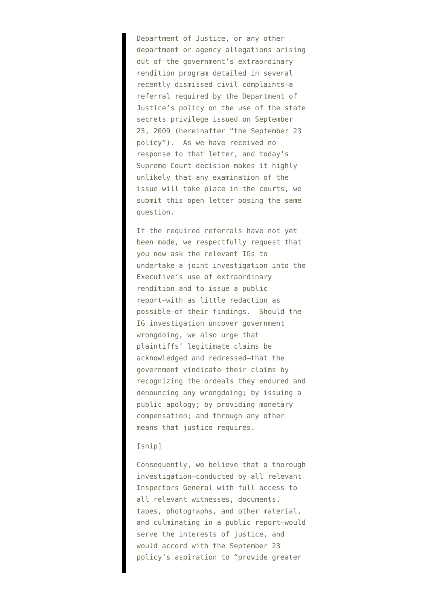Department of Justice, or any other department or agency allegations arising out of the government's extraordinary rendition program detailed in several recently dismissed civil complaints—a referral required by the Department of Justice's policy on the use of the state secrets privilege issued on September 23, 2009 (hereinafter "the September 23 policy"). As we have received no response to that letter, and today's Supreme Court decision makes it highly unlikely that any examination of the issue will take place in the courts, we submit this open letter posing the same question.

If the required referrals have not yet been made, we respectfully request that you now ask the relevant IGs to undertake a joint investigation into the Executive's use of extraordinary rendition and to issue a public report—with as little redaction as possible—of their findings. Should the IG investigation uncover government wrongdoing, we also urge that plaintiffs' legitimate claims be acknowledged and redressed—that the government vindicate their claims by recognizing the ordeals they endured and denouncing any wrongdoing; by issuing a public apology; by providing monetary compensation; and through any other means that justice requires.

## [snip]

Consequently, we believe that a thorough investigation—conducted by all relevant Inspectors General with full access to all relevant witnesses, documents, tapes, photographs, and other material, and culminating in a public report—would serve the interests of justice, and would accord with the September 23 policy's aspiration to "provide greater